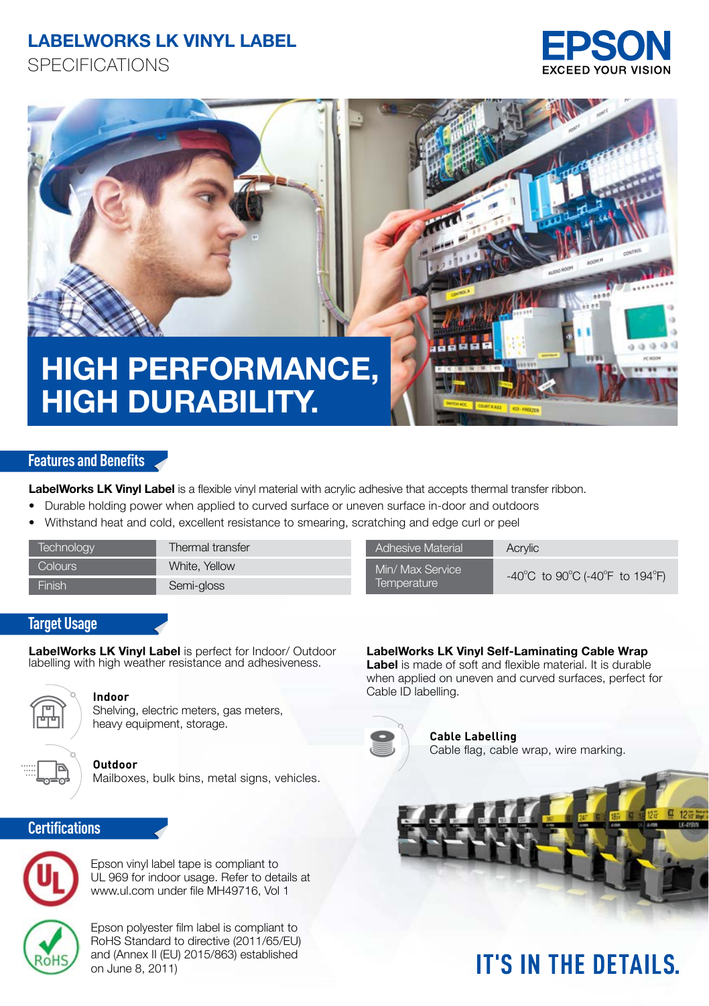## **LABELWORKS LK VINYL LABEL**

**SPECIFICATIONS** 





### **Features and Benefits**

LabelWorks LK Vinyl Label is a flexible vinyl material with acrylic adhesive that accepts thermal transfer ribbon.

- Durable holding power when applied to curved surface or uneven surface in-door and outdoors
- Withstand heat and cold, excellent resistance to smearing, scratching and edge curl or peel

| Technoloav          | Thermal transfer | <b>Adhesive Material</b>        | Acrylic         |
|---------------------|------------------|---------------------------------|-----------------|
| Colours -           | White, Yellow    | Min/ Max Service<br>Temperature | $-40^{\circ}$ C |
| Finish <sup>1</sup> | Semi-gloss       |                                 |                 |

| <b>Adhesive Material</b> |  |  |  |
|--------------------------|--|--|--|
| Min/ Max Service         |  |  |  |
| Temperature              |  |  |  |

-40°C to 90°C (-40°F to 194°F)

### **Target Usage**

**LabelWorks LK Vinyl Label** is perfect for Indoor/ Outdoor labelling with high weather resistance and adhesiveness.



Shelving, electric meters, gas meters, heavy equipment, storage.



### **Certifications**



Epson vinyl label tape is compliant to UL 969 for indoor usage. Refer to details at www.ul.com under file MH49716, Vol 1

Epson polyester film label is compliant to RoHS Standard to directive (2011/65/EU) and (Annex II (EU) 2015/863) established on June 8, 2011)

### **LabelWorks LK Vinyl Self-Laminating Cable Wrap**

**Label** is made of soft and flexible material. It is durable when applied on uneven and curved surfaces, perfect for **Indoor** Cable ID labelling.



**Cable Labelling** Cable flag, cable wrap, wire marking.

# **IT'S IN THE DETAILS.**